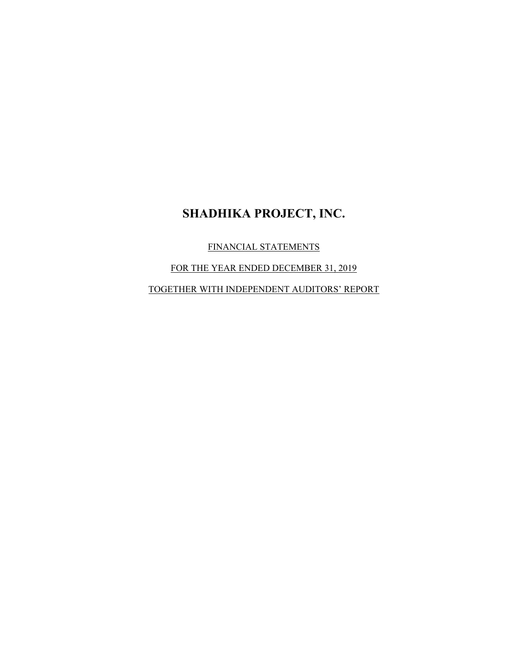FINANCIAL STATEMENTS

FOR THE YEAR ENDED DECEMBER 31, 2019

TOGETHER WITH INDEPENDENT AUDITORS' REPORT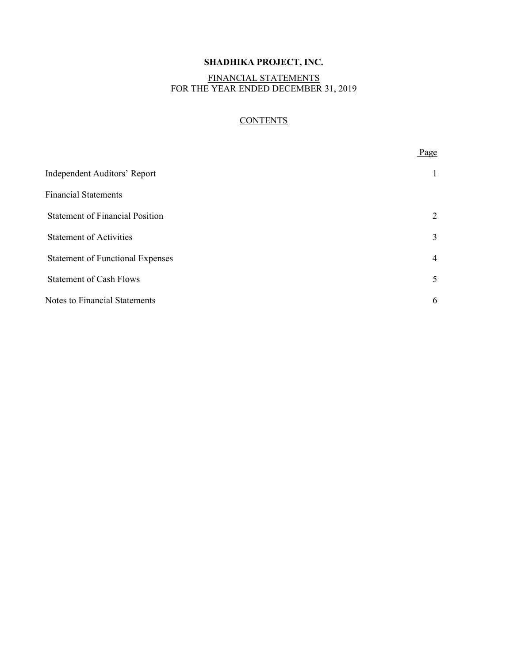# FINANCIAL STATEMENTS FOR THE YEAR ENDED DECEMBER 31, 2019

# **CONTENTS**

|                                         | Page         |
|-----------------------------------------|--------------|
| Independent Auditors' Report            | $\mathbf{1}$ |
| <b>Financial Statements</b>             |              |
| <b>Statement of Financial Position</b>  | 2            |
| <b>Statement of Activities</b>          | 3            |
| <b>Statement of Functional Expenses</b> | 4            |
| <b>Statement of Cash Flows</b>          | 5            |
| Notes to Financial Statements           | 6            |
|                                         |              |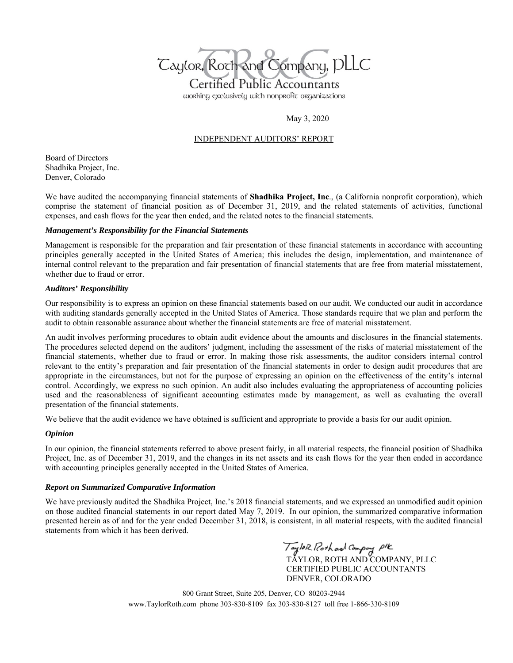

#### May 3, 2020

#### INDEPENDENT AUDITORS' REPORT

Board of Directors Shadhika Project, Inc. Denver, Colorado

We have audited the accompanying financial statements of **Shadhika Project, Inc**., (a California nonprofit corporation), which comprise the statement of financial position as of December 31, 2019, and the related statements of activities, functional expenses, and cash flows for the year then ended, and the related notes to the financial statements.

#### *Management's Responsibility for the Financial Statements*

Management is responsible for the preparation and fair presentation of these financial statements in accordance with accounting principles generally accepted in the United States of America; this includes the design, implementation, and maintenance of internal control relevant to the preparation and fair presentation of financial statements that are free from material misstatement, whether due to fraud or error.

#### *Auditors' Responsibility*

Our responsibility is to express an opinion on these financial statements based on our audit. We conducted our audit in accordance with auditing standards generally accepted in the United States of America. Those standards require that we plan and perform the audit to obtain reasonable assurance about whether the financial statements are free of material misstatement.

An audit involves performing procedures to obtain audit evidence about the amounts and disclosures in the financial statements. The procedures selected depend on the auditors' judgment, including the assessment of the risks of material misstatement of the financial statements, whether due to fraud or error. In making those risk assessments, the auditor considers internal control relevant to the entity's preparation and fair presentation of the financial statements in order to design audit procedures that are appropriate in the circumstances, but not for the purpose of expressing an opinion on the effectiveness of the entity's internal control. Accordingly, we express no such opinion. An audit also includes evaluating the appropriateness of accounting policies used and the reasonableness of significant accounting estimates made by management, as well as evaluating the overall presentation of the financial statements.

We believe that the audit evidence we have obtained is sufficient and appropriate to provide a basis for our audit opinion.

#### *Opinion*

In our opinion, the financial statements referred to above present fairly, in all material respects, the financial position of Shadhika Project, Inc. as of December 31, 2019, and the changes in its net assets and its cash flows for the year then ended in accordance with accounting principles generally accepted in the United States of America.

#### *Report on Summarized Comparative Information*

We have previously audited the Shadhika Project, Inc.'s 2018 financial statements, and we expressed an unmodified audit opinion on those audited financial statements in our report dated May 7, 2019. In our opinion, the summarized comparative information presented herein as of and for the year ended December 31, 2018, is consistent, in all material respects, with the audited financial statements from which it has been derived.

> TayloR Poth and Compay PL<br>TAYLOR, ROTH AND COMPANY, PLLC CERTIFIED PUBLIC ACCOUNTANTS DENVER, COLORADO

800 Grant Street, Suite 205, Denver, CO 80203-2944 www.TaylorRoth.com phone 303-830-8109 fax 303-830-8127 toll free 1-866-330-8109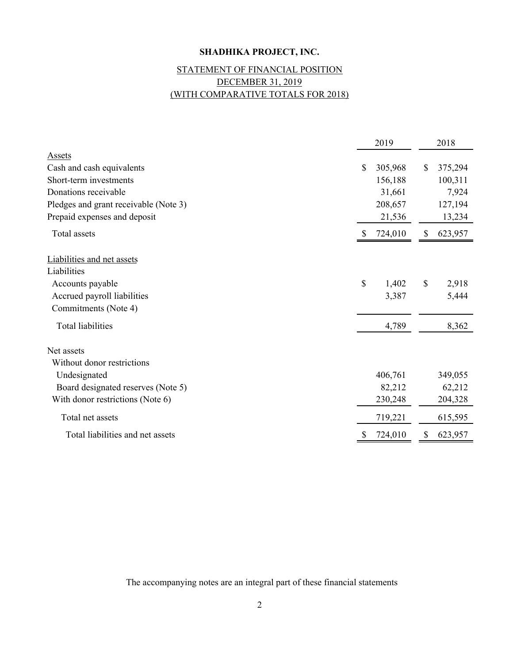# (WITH COMPARATIVE TOTALS FOR 2018) STATEMENT OF FINANCIAL POSITION DECEMBER 31, 2019

|                                       |    | 2019    |              | 2018    |
|---------------------------------------|----|---------|--------------|---------|
| Assets                                |    |         |              |         |
| Cash and cash equivalents             | \$ | 305,968 | $\mathbb{S}$ | 375,294 |
| Short-term investments                |    | 156,188 |              | 100,311 |
| Donations receivable                  |    | 31,661  |              | 7,924   |
| Pledges and grant receivable (Note 3) |    | 208,657 |              | 127,194 |
| Prepaid expenses and deposit          |    | 21,536  |              | 13,234  |
| Total assets                          | S. | 724,010 | \$           | 623,957 |
| Liabilities and net assets            |    |         |              |         |
| Liabilities                           |    |         |              |         |
| Accounts payable                      | \$ | 1,402   | \$           | 2,918   |
| Accrued payroll liabilities           |    | 3,387   |              | 5,444   |
| Commitments (Note 4)                  |    |         |              |         |
| <b>Total liabilities</b>              |    | 4,789   |              | 8,362   |
| Net assets                            |    |         |              |         |
| Without donor restrictions            |    |         |              |         |
| Undesignated                          |    | 406,761 |              | 349,055 |
| Board designated reserves (Note 5)    |    | 82,212  |              | 62,212  |
| With donor restrictions (Note 6)      |    | 230,248 |              | 204,328 |
| Total net assets                      |    | 719,221 |              | 615,595 |
| Total liabilities and net assets      |    | 724,010 | \$           | 623,957 |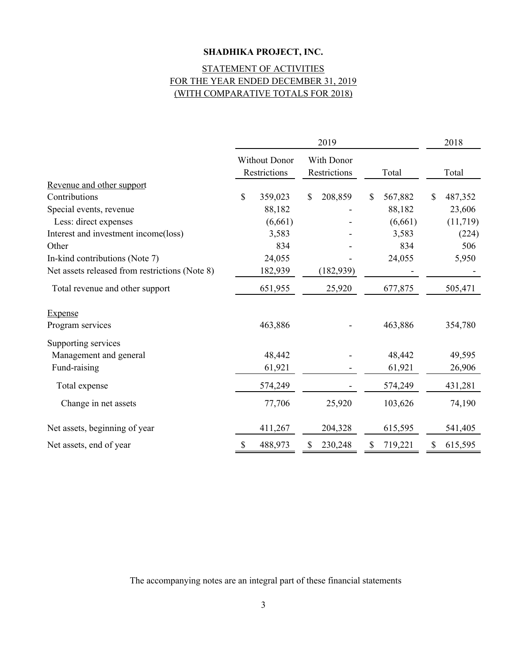# (WITH COMPARATIVE TOTALS FOR 2018) STATEMENT OF ACTIVITIES FOR THE YEAR ENDED DECEMBER 31, 2019

|                                                | 2019 |                                      |    |                            | 2018 |         |    |          |
|------------------------------------------------|------|--------------------------------------|----|----------------------------|------|---------|----|----------|
|                                                |      | <b>Without Donor</b><br>Restrictions |    | With Donor<br>Restrictions |      | Total   |    | Total    |
| Revenue and other support                      |      |                                      |    |                            |      |         |    |          |
| Contributions                                  | \$   | 359,023                              | \$ | 208,859                    | S    | 567,882 | \$ | 487,352  |
| Special events, revenue                        |      | 88,182                               |    |                            |      | 88,182  |    | 23,606   |
| Less: direct expenses                          |      | (6,661)                              |    |                            |      | (6,661) |    | (11,719) |
| Interest and investment income(loss)           |      | 3,583                                |    |                            |      | 3,583   |    | (224)    |
| Other                                          |      | 834                                  |    |                            |      | 834     |    | 506      |
| In-kind contributions (Note 7)                 |      | 24,055                               |    |                            |      | 24,055  |    | 5,950    |
| Net assets released from restrictions (Note 8) |      | 182,939                              |    | (182, 939)                 |      |         |    |          |
| Total revenue and other support                |      | 651,955                              |    | 25,920                     |      | 677,875 |    | 505,471  |
| <b>Expense</b>                                 |      |                                      |    |                            |      |         |    |          |
| Program services                               |      | 463,886                              |    |                            |      | 463,886 |    | 354,780  |
| Supporting services                            |      |                                      |    |                            |      |         |    |          |
| Management and general                         |      | 48,442                               |    |                            |      | 48,442  |    | 49,595   |
| Fund-raising                                   |      | 61,921                               |    |                            |      | 61,921  |    | 26,906   |
| Total expense                                  |      | 574,249                              |    |                            |      | 574,249 |    | 431,281  |
| Change in net assets                           |      | 77,706                               |    | 25,920                     |      | 103,626 |    | 74,190   |
| Net assets, beginning of year                  |      | 411,267                              |    | 204,328                    |      | 615,595 |    | 541,405  |
| Net assets, end of year                        | S    | 488,973                              | S  | 230,248                    |      | 719,221 | S  | 615,595  |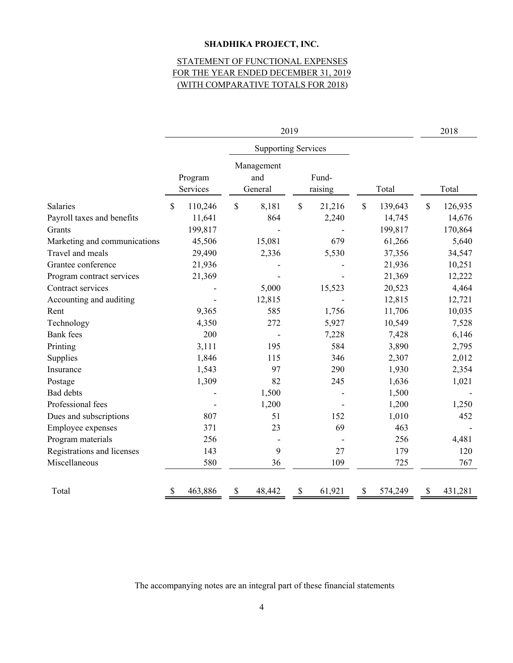# STATEMENT OF FUNCTIONAL EXPENSES (WITH COMPARATIVE TOTALS FOR 2018) FOR THE YEAR ENDED DECEMBER 31, 2019

|                              | 2019 |                     |                            |                              |               |                  | 2018          |               |         |
|------------------------------|------|---------------------|----------------------------|------------------------------|---------------|------------------|---------------|---------------|---------|
|                              |      |                     | <b>Supporting Services</b> |                              |               |                  |               |               |         |
|                              |      | Program<br>Services |                            | Management<br>and<br>General |               | Fund-<br>raising | Total         |               | Total   |
| Salaries                     | \$   | 110,246             | \$                         | 8,181                        | $\mathcal{S}$ | 21,216           | \$<br>139,643 | $\mathcal{S}$ | 126,935 |
| Payroll taxes and benefits   |      | 11,641              |                            | 864                          |               | 2,240            | 14,745        |               | 14,676  |
| Grants                       |      | 199,817             |                            |                              |               |                  | 199,817       |               | 170,864 |
| Marketing and communications |      | 45,506              |                            | 15,081                       |               | 679              | 61,266        |               | 5,640   |
| Travel and meals             |      | 29,490              |                            | 2,336                        |               | 5,530            | 37,356        |               | 34,547  |
| Grantee conference           |      | 21,936              |                            |                              |               |                  | 21,936        |               | 10,251  |
| Program contract services    |      | 21,369              |                            |                              |               |                  | 21,369        |               | 12,222  |
| Contract services            |      |                     |                            | 5,000                        |               | 15,523           | 20,523        |               | 4,464   |
| Accounting and auditing      |      |                     |                            | 12,815                       |               |                  | 12,815        |               | 12,721  |
| Rent                         |      | 9,365               |                            | 585                          |               | 1,756            | 11,706        |               | 10,035  |
| Technology                   |      | 4,350               |                            | 272                          |               | 5,927            | 10,549        |               | 7,528   |
| <b>Bank</b> fees             |      | 200                 |                            |                              |               | 7,228            | 7,428         |               | 6,146   |
| Printing                     |      | 3,111               |                            | 195                          |               | 584              | 3,890         |               | 2,795   |
| Supplies                     |      | 1,846               |                            | 115                          |               | 346              | 2,307         |               | 2,012   |
| Insurance                    |      | 1,543               |                            | 97                           |               | 290              | 1,930         |               | 2,354   |
| Postage                      |      | 1,309               |                            | 82                           |               | 245              | 1,636         |               | 1,021   |
| <b>Bad</b> debts             |      |                     |                            | 1,500                        |               |                  | 1,500         |               |         |
| Professional fees            |      |                     |                            | 1,200                        |               |                  | 1,200         |               | 1,250   |
| Dues and subscriptions       |      | 807                 |                            | 51                           |               | 152              | 1,010         |               | 452     |
| Employee expenses            |      | 371                 |                            | 23                           |               | 69               | 463           |               |         |
| Program materials            |      | 256                 |                            |                              |               |                  | 256           |               | 4,481   |
| Registrations and licenses   |      | 143                 |                            | 9                            |               | 27               | 179           |               | 120     |
| Miscellaneous                |      | 580                 |                            | 36                           |               | 109              | 725           |               | 767     |
| Total                        | \$   | 463,886             | \$                         | 48,442                       | \$            | 61,921           | \$<br>574,249 | \$            | 431,281 |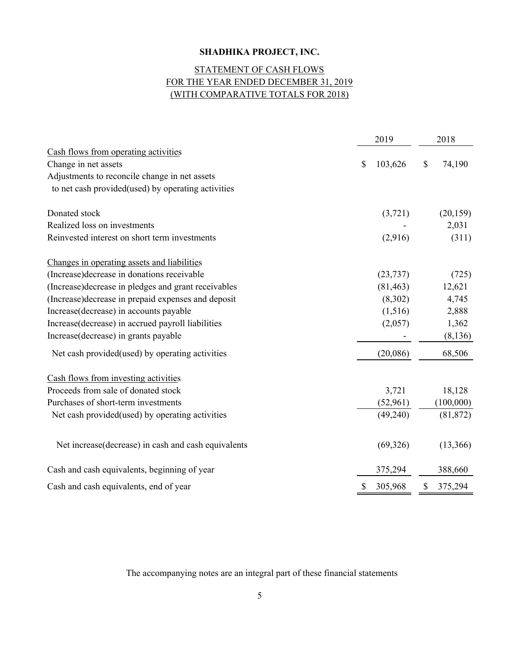# (WITH COMPARATIVE TOTALS FOR 2018) STATEMENT OF CASH FLOWS FOR THE YEAR ENDED DECEMBER 31, 2019

|                                                      | 2019          | 2018          |
|------------------------------------------------------|---------------|---------------|
| Cash flows from operating activities                 |               |               |
| Change in net assets                                 | \$<br>103,626 | \$<br>74,190  |
| Adjustments to reconcile change in net assets        |               |               |
| to net cash provided (used) by operating activities  |               |               |
| Donated stock                                        | (3,721)       | (20, 159)     |
| Realized loss on investments                         |               | 2,031         |
| Reinvested interest on short term investments        | (2,916)       | (311)         |
| Changes in operating assets and liabilities          |               |               |
| (Increase) decrease in donations receivable          | (23, 737)     | (725)         |
| (Increase) decrease in pledges and grant receivables | (81, 463)     | 12,621        |
| (Increase) decrease in prepaid expenses and deposit  | (8,302)       | 4,745         |
| Increase(decrease) in accounts payable               | (1,516)       | 2,888         |
| Increase(decrease) in accrued payroll liabilities    | (2,057)       | 1,362         |
| Increase(decrease) in grants payable                 |               | (8, 136)      |
| Net cash provided (used) by operating activities     | (20,086)      | 68,506        |
| Cash flows from investing activities                 |               |               |
| Proceeds from sale of donated stock                  | 3,721         | 18,128        |
| Purchases of short-term investments                  | (52,961)      | (100,000)     |
| Net cash provided (used) by operating activities     | (49,240)      | (81, 872)     |
| Net increase(decrease) in cash and cash equivalents  | (69, 326)     | (13,366)      |
| Cash and cash equivalents, beginning of year         | 375,294       | 388,660       |
| Cash and cash equivalents, end of year               | \$<br>305,968 | \$<br>375,294 |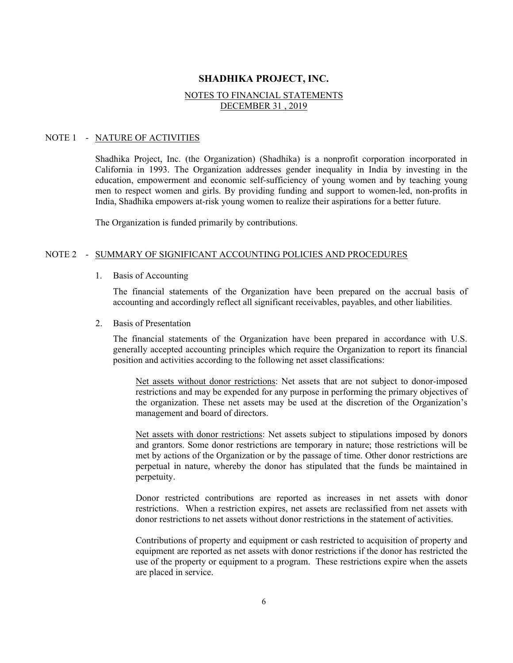### NOTES TO FINANCIAL STATEMENTS DECEMBER 31 , 2019

#### NOTE 1 - NATURE OF ACTIVITIES

Shadhika Project, Inc. (the Organization) (Shadhika) is a nonprofit corporation incorporated in California in 1993. The Organization addresses gender inequality in India by investing in the education, empowerment and economic self-sufficiency of young women and by teaching young men to respect women and girls. By providing funding and support to women-led, non-profits in India, Shadhika empowers at-risk young women to realize their aspirations for a better future.

The Organization is funded primarily by contributions.

#### NOTE 2 - SUMMARY OF SIGNIFICANT ACCOUNTING POLICIES AND PROCEDURES

#### 1. Basis of Accounting

 The financial statements of the Organization have been prepared on the accrual basis of accounting and accordingly reflect all significant receivables, payables, and other liabilities.

### 2. Basis of Presentation

 The financial statements of the Organization have been prepared in accordance with U.S. generally accepted accounting principles which require the Organization to report its financial position and activities according to the following net asset classifications:

 Net assets without donor restrictions: Net assets that are not subject to donor-imposed restrictions and may be expended for any purpose in performing the primary objectives of the organization. These net assets may be used at the discretion of the Organization's management and board of directors.

 Net assets with donor restrictions: Net assets subject to stipulations imposed by donors and grantors. Some donor restrictions are temporary in nature; those restrictions will be met by actions of the Organization or by the passage of time. Other donor restrictions are perpetual in nature, whereby the donor has stipulated that the funds be maintained in perpetuity.

 Donor restricted contributions are reported as increases in net assets with donor restrictions. When a restriction expires, net assets are reclassified from net assets with donor restrictions to net assets without donor restrictions in the statement of activities.

Contributions of property and equipment or cash restricted to acquisition of property and equipment are reported as net assets with donor restrictions if the donor has restricted the use of the property or equipment to a program. These restrictions expire when the assets are placed in service.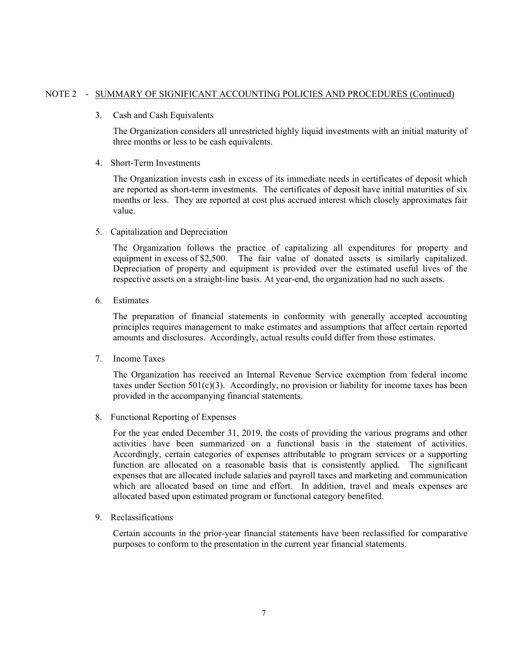## NOTE 2 - SUMMARY OF SIGNIFICANT ACCOUNTING POLICIES AND PROCEDURES (Continued)

3. Cash and Cash Equivalents

 The Organization considers all unrestricted highly liquid investments with an initial maturity of three months or less to be cash equivalents.

4. Short-Term Investments

 The Organization invests cash in excess of its immediate needs in certificates of deposit which are reported as short-term investments. The certificates of deposit have initial maturities of six months or less. They are reported at cost plus accrued interest which closely approximates fair value.

5. Capitalization and Depreciation

 The Organization follows the practice of capitalizing all expenditures for property and equipment in excess of \$2,500. The fair value of donated assets is similarly capitalized. Depreciation of property and equipment is provided over the estimated useful lives of the respective assets on a straight-line basis. At year-end, the organization had no such assets.

6. Estimates

 The preparation of financial statements in conformity with generally accepted accounting principles requires management to make estimates and assumptions that affect certain reported amounts and disclosures. Accordingly, actual results could differ from those estimates.

7. Income Taxes

 The Organization has received an Internal Revenue Service exemption from federal income taxes under Section  $501(c)(3)$ . Accordingly, no provision or liability for income taxes has been provided in the accompanying financial statements.

8. Functional Reporting of Expenses

 For the year ended December 31, 2019, the costs of providing the various programs and other activities have been summarized on a functional basis in the statement of activities. Accordingly, certain categories of expenses attributable to program services or a supporting function are allocated on a reasonable basis that is consistently applied. The significant expenses that are allocated include salaries and payroll taxes and marketing and communication which are allocated based on time and effort. In addition, travel and meals expenses are allocated based upon estimated program or functional category benefited.

9. Reclassifications

 Certain accounts in the prior-year financial statements have been reclassified for comparative purposes to conform to the presentation in the current year financial statements.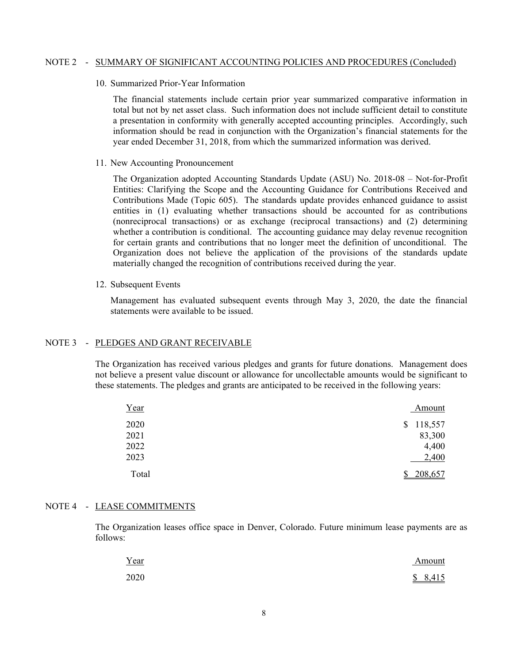### NOTE 2 - SUMMARY OF SIGNIFICANT ACCOUNTING POLICIES AND PROCEDURES (Concluded)

### 10. Summarized Prior-Year Information

The financial statements include certain prior year summarized comparative information in total but not by net asset class. Such information does not include sufficient detail to constitute a presentation in conformity with generally accepted accounting principles. Accordingly, such information should be read in conjunction with the Organization's financial statements for the year ended December 31, 2018, from which the summarized information was derived.

#### 11. New Accounting Pronouncement

The Organization adopted Accounting Standards Update (ASU) No. 2018-08 – Not-for-Profit Entities: Clarifying the Scope and the Accounting Guidance for Contributions Received and Contributions Made (Topic 605). The standards update provides enhanced guidance to assist entities in (1) evaluating whether transactions should be accounted for as contributions (nonreciprocal transactions) or as exchange (reciprocal transactions) and (2) determining whether a contribution is conditional. The accounting guidance may delay revenue recognition for certain grants and contributions that no longer meet the definition of unconditional. The Organization does not believe the application of the provisions of the standards update materially changed the recognition of contributions received during the year.

#### 12. Subsequent Events

 Management has evaluated subsequent events through May 3, 2020, the date the financial statements were available to be issued.

### NOTE 3 - PLEDGES AND GRANT RECEIVABLE

The Organization has received various pledges and grants for future donations. Management does not believe a present value discount or allowance for uncollectable amounts would be significant to these statements. The pledges and grants are anticipated to be received in the following years:

| Year  | Amount        |
|-------|---------------|
| 2020  | 118,557<br>\$ |
| 2021  | 83,300        |
| 2022  | 4,400         |
| 2023  | 2,400         |
| Total | 208,657       |

### NOTE 4 - LEASE COMMITMENTS

The Organization leases office space in Denver, Colorado. Future minimum lease payments are as follows:

| Year | Amount  |
|------|---------|
| 2020 | \$8,415 |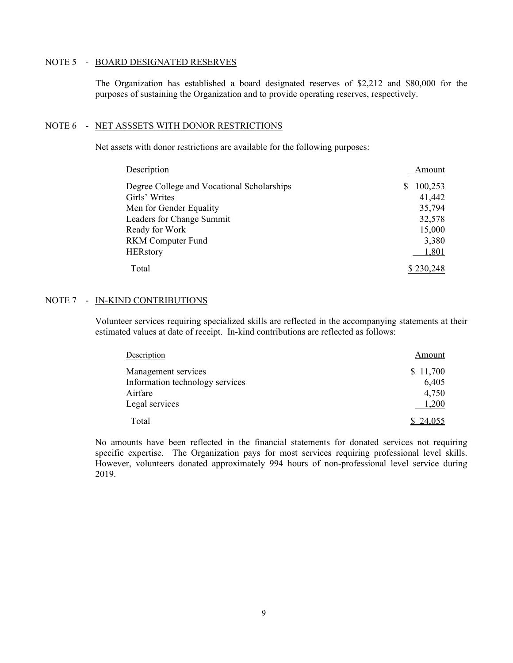### NOTE 5 - BOARD DESIGNATED RESERVES

 The Organization has established a board designated reserves of \$2,212 and \$80,000 for the purposes of sustaining the Organization and to provide operating reserves, respectively.

## NOTE 6 - NET ASSSETS WITH DONOR RESTRICTIONS

Net assets with donor restrictions are available for the following purposes:

| Description                                | Amount       |
|--------------------------------------------|--------------|
| Degree College and Vocational Scholarships | 100,253<br>S |
| Girls' Writes                              | 41,442       |
| Men for Gender Equality                    | 35,794       |
| Leaders for Change Summit                  | 32,578       |
| Ready for Work                             | 15,000       |
| RKM Computer Fund                          | 3,380        |
| <b>HERstory</b>                            | 1,801        |
| Total                                      | \$230,248    |

### NOTE 7 - IN-KIND CONTRIBUTIONS

Volunteer services requiring specialized skills are reflected in the accompanying statements at their estimated values at date of receipt. In-kind contributions are reflected as follows:

| Description                     | Amount   |
|---------------------------------|----------|
| Management services             | \$11,700 |
| Information technology services | 6,405    |
| Airfare                         | 4,750    |
| Legal services                  | 1,200    |
| Total                           | 24,055   |

No amounts have been reflected in the financial statements for donated services not requiring specific expertise. The Organization pays for most services requiring professional level skills. However, volunteers donated approximately 994 hours of non-professional level service during 2019.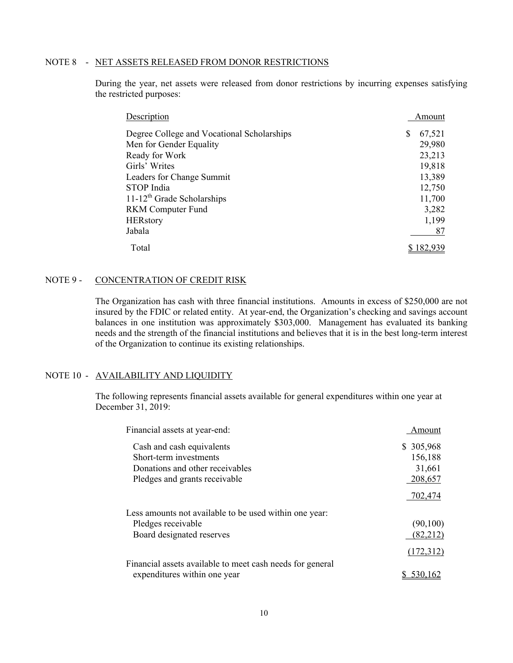### NOTE 8 - NET ASSETS RELEASED FROM DONOR RESTRICTIONS

During the year, net assets were released from donor restrictions by incurring expenses satisfying the restricted purposes:

| Description                                | Amount       |
|--------------------------------------------|--------------|
| Degree College and Vocational Scholarships | \$<br>67,521 |
| Men for Gender Equality                    | 29,980       |
| Ready for Work                             | 23,213       |
| Girls' Writes                              | 19,818       |
| Leaders for Change Summit                  | 13,389       |
| STOP India                                 | 12,750       |
| $11-12$ <sup>th</sup> Grade Scholarships   | 11,700       |
| <b>RKM</b> Computer Fund                   | 3,282        |
| <b>HERstory</b>                            | 1,199        |
| Jabala                                     | 87           |
| Total                                      |              |

### NOTE 9 - CONCENTRATION OF CREDIT RISK

The Organization has cash with three financial institutions. Amounts in excess of \$250,000 are not insured by the FDIC or related entity. At year-end, the Organization's checking and savings account balances in one institution was approximately \$303,000. Management has evaluated its banking needs and the strength of the financial institutions and believes that it is in the best long-term interest of the Organization to continue its existing relationships.

# NOTE 10 - AVAILABILITY AND LIQUIDITY

The following represents financial assets available for general expenditures within one year at December 31, 2019:

| Financial assets at year-end:                             | Amount    |
|-----------------------------------------------------------|-----------|
| Cash and cash equivalents                                 | \$305,968 |
| Short-term investments                                    | 156,188   |
| Donations and other receivables                           | 31,661    |
| Pledges and grants receivable                             | 208,657   |
|                                                           | 702,474   |
| Less amounts not available to be used within one year:    |           |
| Pledges receivable                                        | (90,100)  |
| Board designated reserves                                 | (82,212)  |
|                                                           | (172,312) |
| Financial assets available to meet cash needs for general |           |
| expenditures within one year                              | 530.      |